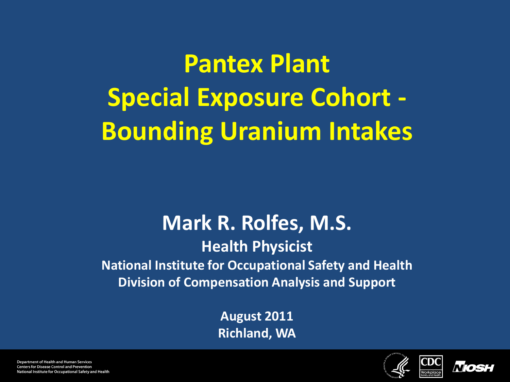**Pantex Plant Special Exposure Cohort - Bounding Uranium Intakes**

#### **Mark R. Rolfes, M.S.**

**Health Physicist National Institute for Occupational Safety and Health Division of Compensation Analysis and Support**

> **August 2011 Richland, WA**





**Department of Health and Human Services Centers for Disease Control and Prevention** National Institute for Occupational Safety and Health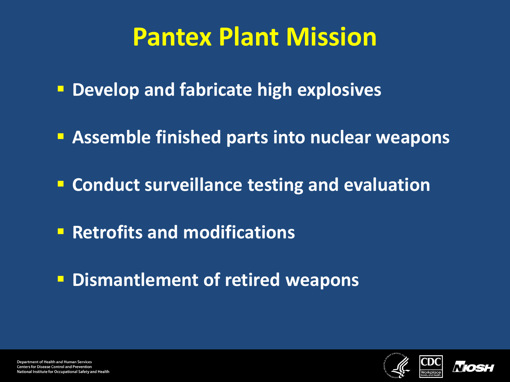### **Pantex Plant Mission**

- **Develop and fabricate high explosives**
- **Assemble finished parts into nuclear weapons**
- **Conduct surveillance testing and evaluation**
- **Retrofits and modifications**
- **P Dismantlement of retired weapons**



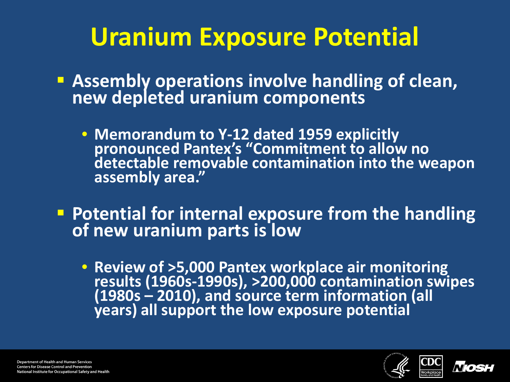# **Uranium Exposure Potential**

- **Assembly operations involve handling of clean, new depleted uranium components**
	- **Memorandum to Y-12 dated 1959 explicitly pronounced Pantex's "Commitment to allow no detectable removable contamination into the weapon assembly area."**
- **Potential for internal exposure from the handling of new uranium parts is low**
	- **Review of >5,000 Pantex workplace air monitoring**  (1980s - 2010), and source term information (all years) all support the low exposure potential



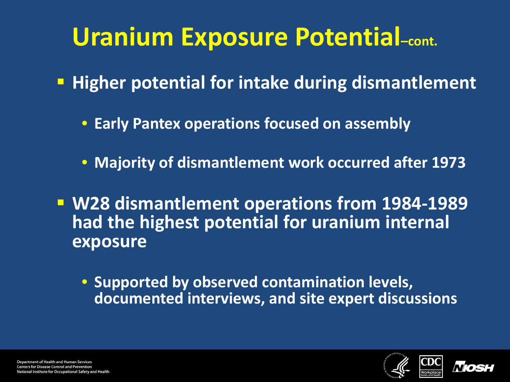### **Uranium Exposure Potential–cont.**

- **Higher potential for intake during dismantlement** 
	- **Early Pantex operations focused on assembly**
	- **Majority of dismantlement work occurred after 1973**
- **W28 dismantlement operations from 1984-1989 had the highest potential for uranium internal exposure**
	- **Supported by observed contamination levels, documented interviews, and site expert discussions**



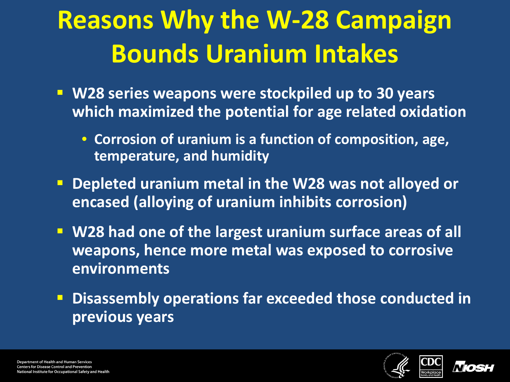# **Reasons Why the W-28 Campaign Bounds Uranium Intakes**

- **W28 series weapons were stockpiled up to 30 years which maximized the potential for age related oxidation**
	- **Corrosion of uranium is a function of composition, age, temperature, and humidity**
- **Depleted uranium metal in the W28 was not alloyed or encased (alloying of uranium inhibits corrosion)**
- **W28 had one of the largest uranium surface areas of all weapons, hence more metal was exposed to corrosive environments**
- **P Disassembly operations far exceeded those conducted in previous years**



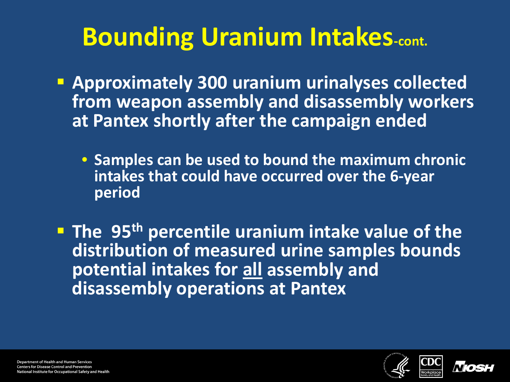# **Bounding Uranium Intakes-cont.**

- **Approximately 300 uranium urinalyses collected from weapon assembly and disassembly workers at Pantex shortly after the campaign ended**
	- **Samples can be used to bound the maximum chronic intakes that could have occurred over the 6-year period**

**The 95<sup>th</sup> percentile uranium intake value of the distribution of measured urine samples bounds potential intakes for all assembly and disassembly operations at Pantex** 



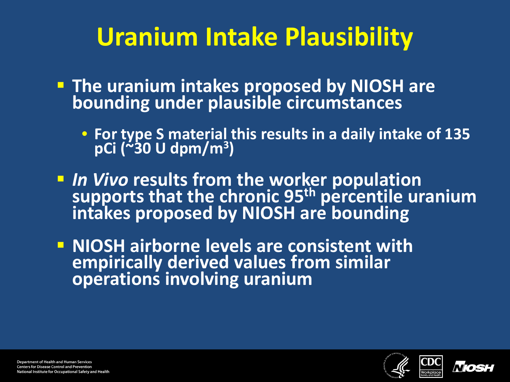# **Uranium Intake Plausibility**

- **The uranium intakes proposed by NIOSH are bounding under plausible circumstances**
	- **For type S material this results in a daily intake of 135 pCi (~30 U dpm/m3)**
- **IVERT 10 Supports from the worker population**<br> **IN Vivo results from the worker population**<br> **Intakes proposed by NIOSH are bounding**
- **NIOSH airborne levels are consistent with empirically derived values from similar operations involving uranium**